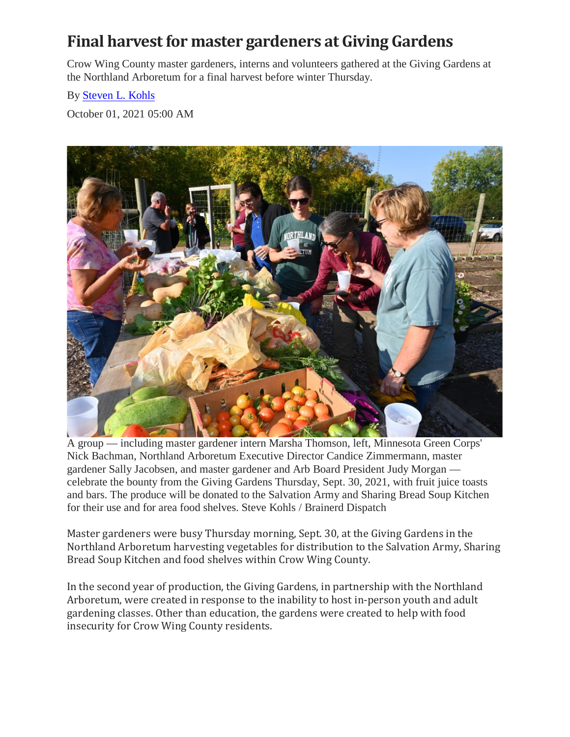## **Final harvest for master gardeners at Giving Gardens**

Crow Wing County master gardeners, interns and volunteers gathered at the Giving Gardens at the Northland Arboretum for a final harvest before winter Thursday.

## By [Steven L. Kohls](https://www.brainerddispatch.com/author/Steve-Kohls)

October 01, 2021 05:00 AM



A group — including master gardener intern Marsha Thomson, left, Minnesota Green Corps' Nick Bachman, Northland Arboretum Executive Director Candice Zimmermann, master gardener Sally Jacobsen, and master gardener and Arb Board President Judy Morgan celebrate the bounty from the Giving Gardens Thursday, Sept. 30, 2021, with fruit juice toasts and bars. The produce will be donated to the Salvation Army and Sharing Bread Soup Kitchen for their use and for area food shelves. Steve Kohls / Brainerd Dispatch

Master gardeners were busy Thursday morning, Sept. 30, at the Giving Gardens in the Northland Arboretum harvesting vegetables for distribution to the Salvation Army, Sharing Bread Soup Kitchen and food shelves within Crow Wing County.

In the second year of production, the Giving Gardens, in partnership with the Northland Arboretum, were created in response to the inability to host in-person youth and adult gardening classes. Other than education, the gardens were created to help with food insecurity for Crow Wing County residents.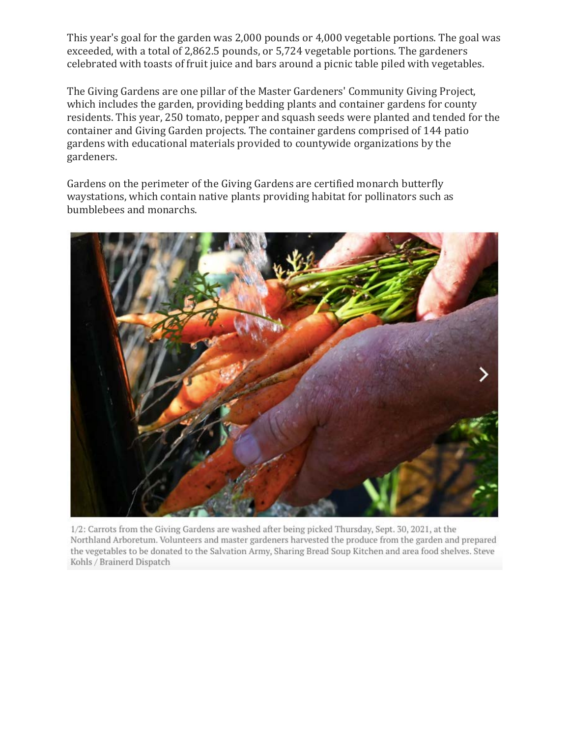This year's goal for the garden was 2,000 pounds or 4,000 vegetable portions. The goal was exceeded, with a total of 2,862.5 pounds, or 5,724 vegetable portions. The gardeners celebrated with toasts of fruit juice and bars around a picnic table piled with vegetables.

The Giving Gardens are one pillar of the Master Gardeners' Community Giving Project, which includes the garden, providing bedding plants and container gardens for county residents. This year, 250 tomato, pepper and squash seeds were planted and tended for the container and Giving Garden projects. The container gardens comprised of 144 patio gardens with educational materials provided to countywide organizations by the gardeners.

Gardens on the perimeter of the Giving Gardens are certified monarch butterfly waystations, which contain native plants providing habitat for pollinators such as bumblebees and monarchs.



1/2: Carrots from the Giving Gardens are washed after being picked Thursday, Sept. 30, 2021, at the Northland Arboretum. Volunteers and master gardeners harvested the produce from the garden and prepared the vegetables to be donated to the Salvation Army, Sharing Bread Soup Kitchen and area food shelves. Steve Kohls / Brainerd Dispatch